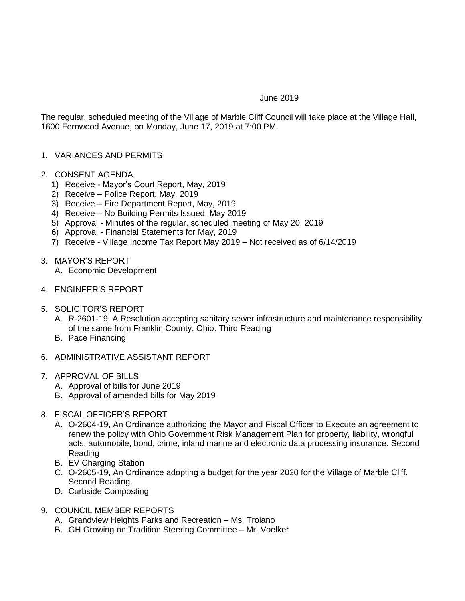## June 2019

The regular, scheduled meeting of the Village of Marble Cliff Council will take place at the Village Hall, 1600 Fernwood Avenue, on Monday, June 17, 2019 at 7:00 PM.

## 1. VARIANCES AND PERMITS

- 2. CONSENT AGENDA
	- 1) Receive Mayor's Court Report, May, 2019
	- 2) Receive Police Report, May, 2019
	- 3) Receive Fire Department Report, May, 2019
	- 4) Receive No Building Permits Issued, May 2019
	- 5) Approval Minutes of the regular, scheduled meeting of May 20, 2019
	- 6) Approval Financial Statements for May, 2019
	- 7) Receive Village Income Tax Report May 2019 Not received as of 6/14/2019
- 3. MAYOR'S REPORT
	- A. Economic Development
- 4. ENGINEER'S REPORT
- 5. SOLICITOR'S REPORT
	- A. R-2601-19, A Resolution accepting sanitary sewer infrastructure and maintenance responsibility of the same from Franklin County, Ohio. Third Reading
	- B. Pace Financing
- 6. ADMINISTRATIVE ASSISTANT REPORT
- 7. APPROVAL OF BILLS
	- A. Approval of bills for June 2019
	- B. Approval of amended bills for May 2019
- 8. FISCAL OFFICER'S REPORT
	- A. O-2604-19, An Ordinance authorizing the Mayor and Fiscal Officer to Execute an agreement to renew the policy with Ohio Government Risk Management Plan for property, liability, wrongful acts, automobile, bond, crime, inland marine and electronic data processing insurance. Second Reading
	- B. EV Charging Station
	- C. O-2605-19, An Ordinance adopting a budget for the year 2020 for the Village of Marble Cliff. Second Reading.
	- D. Curbside Composting
- 9. COUNCIL MEMBER REPORTS
	- A. Grandview Heights Parks and Recreation Ms. Troiano
	- B. GH Growing on Tradition Steering Committee Mr. Voelker